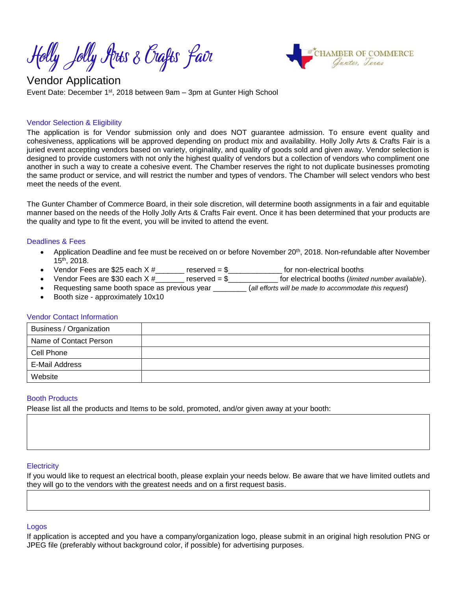Holly Jolly Arts & Orafts fair



# Vendor Application Event Date: December 1<sup>st</sup>, 2018 between 9am - 3pm at Gunter High School

## Vendor Selection & Eligibility

The application is for Vendor submission only and does NOT guarantee admission. To ensure event quality and cohesiveness, applications will be approved depending on product mix and availability. Holly Jolly Arts & Crafts Fair is a juried event accepting vendors based on variety, originality, and quality of goods sold and given away. Vendor selection is designed to provide customers with not only the highest quality of vendors but a collection of vendors who compliment one another in such a way to create a cohesive event. The Chamber reserves the right to not duplicate businesses promoting the same product or service, and will restrict the number and types of vendors. The Chamber will select vendors who best meet the needs of the event.

The Gunter Chamber of Commerce Board, in their sole discretion, will determine booth assignments in a fair and equitable manner based on the needs of the Holly Jolly Arts & Crafts Fair event. Once it has been determined that your products are the quality and type to fit the event, you will be invited to attend the event.

### Deadlines & Fees

- Application Deadline and fee must be received on or before November 20th, 2018. Non-refundable after November 15 th, 2018.
- Vendor Fees are \$25 each  $X #$  reserved = \$\_\_\_\_\_\_\_\_\_\_\_\_\_ for non-electrical booths
- Vendor Fees are \$30 each X #\_\_\_\_\_\_\_ reserved = \$\_\_\_\_\_\_\_\_\_\_\_\_ for electrical booths (*limited number available*).
- Requesting same booth space as previous year \_\_\_\_\_\_\_\_ (*all efforts will be made to accommodate this request*)
- Booth size approximately 10x10

### Vendor Contact Information

| Business / Organization |  |
|-------------------------|--|
| Name of Contact Person  |  |
| Cell Phone              |  |
| E-Mail Address          |  |
| Website                 |  |

## Booth Products

Please list all the products and Items to be sold, promoted, and/or given away at your booth:

### **Electricity**

If you would like to request an electrical booth, please explain your needs below. Be aware that we have limited outlets and they will go to the vendors with the greatest needs and on a first request basis.

### Logos

If application is accepted and you have a company/organization logo, please submit in an original high resolution PNG or JPEG file (preferably without background color, if possible) for advertising purposes.